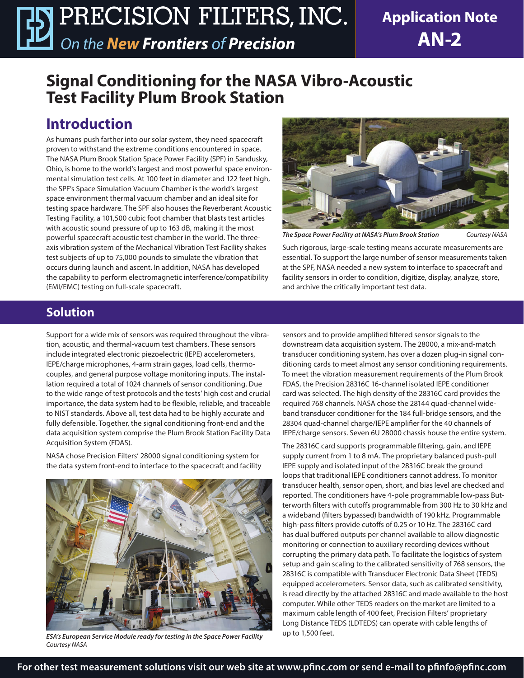**Application Note AN-2**

# **Signal Conditioning for the NASA Vibro-Acoustic Test Facility Plum Brook Station**

# **Introduction**

As humans push farther into our solar system, they need spacecraft proven to withstand the extreme conditions encountered in space. The NASA Plum Brook Station Space Power Facility (SPF) in Sandusky, Ohio, is home to the world's largest and most powerful space environmental simulation test cells. At 100 feet in diameter and 122 feet high, the SPF's Space Simulation Vacuum Chamber is the world's largest space environment thermal vacuum chamber and an ideal site for testing space hardware. The SPF also houses the Reverberant Acoustic Testing Facility, a 101,500 cubic foot chamber that blasts test articles with acoustic sound pressure of up to 163 dB, making it the most powerful spacecraft acoustic test chamber in the world. The threeaxis vibration system of the Mechanical Vibration Test Facility shakes test subjects of up to 75,000 pounds to simulate the vibration that occurs during launch and ascent. In addition, NASA has developed the capability to perform electromagnetic interference/compatibility (EMI/EMC) testing on full-scale spacecraft.



*The Space Power Facility at NASA's Plum Brook Station Courtesy NASA*

Such rigorous, large-scale testing means accurate measurements are essential. To support the large number of sensor measurements taken at the SPF, NASA needed a new system to interface to spacecraft and facility sensors in order to condition, digitize, display, analyze, store, and archive the critically important test data.

### **Solution**

Support for a wide mix of sensors was required throughout the vibration, acoustic, and thermal-vacuum test chambers. These sensors include integrated electronic piezoelectric (IEPE) accelerometers, IEPE/charge microphones, 4-arm strain gages, load cells, thermocouples, and general purpose voltage monitoring inputs. The installation required a total of 1024 channels of sensor conditioning. Due to the wide range of test protocols and the tests' high cost and crucial importance, the data system had to be flexible, reliable, and traceable to NIST standards. Above all, test data had to be highly accurate and fully defensible. Together, the signal conditioning front-end and the data acquisition system comprise the Plum Brook Station Facility Data Acquisition System (FDAS).

NASA chose Precision Filters' 28000 signal conditioning system for the data system front-end to interface to the spacecraft and facility



*ESA's European Service Module ready for testing in the Space Power Facility Courtesy NASA*

sensors and to provide amplified filtered sensor signals to the downstream data acquisition system. The 28000, a mix-and-match transducer conditioning system, has over a dozen plug-in signal conditioning cards to meet almost any sensor conditioning requirements. To meet the vibration measurement requirements of the Plum Brook FDAS, the Precision 28316C 16-channel isolated IEPE conditioner card was selected. The high density of the 28316C card provides the required 768 channels. NASA chose the 28144 quad-channel wideband transducer conditioner for the 184 full-bridge sensors, and the 28304 quad-channel charge/IEPE amplifier for the 40 channels of IEPE/charge sensors. Seven 6U 28000 chassis house the entire system.

The 28316C card supports programmable filtering, gain, and IEPE supply current from 1 to 8 mA. The proprietary balanced push-pull IEPE supply and isolated input of the 28316C break the ground loops that traditional IEPE conditioners cannot address. To monitor transducer health, sensor open, short, and bias level are checked and reported. The conditioners have 4-pole programmable low-pass Butterworth filters with cutoffs programmable from 300 Hz to 30 kHz and a wideband (filters bypassed) bandwidth of 190 kHz. Programmable high-pass filters provide cutoffs of 0.25 or 10 Hz. The 28316C card has dual buffered outputs per channel available to allow diagnostic monitoring or connection to auxiliary recording devices without corrupting the primary data path. To facilitate the logistics of system setup and gain scaling to the calibrated sensitivity of 768 sensors, the 28316C is compatible with Transducer Electronic Data Sheet (TEDS) equipped accelerometers. Sensor data, such as calibrated sensitivity, is read directly by the attached 28316C and made available to the host computer. While other TEDS readers on the market are limited to a maximum cable length of 400 feet, Precision Filters' proprietary Long Distance TEDS (LDTEDS) can operate with cable lengths of up to 1,500 feet.